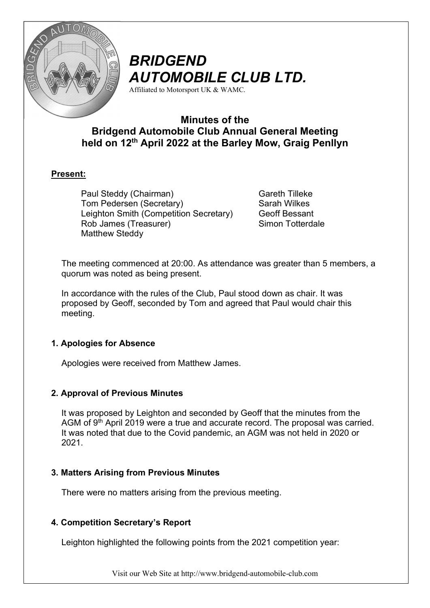

# BRIDGEND AUTOMOBILE CLUB LTD.

Affiliated to Motorsport UK & WAMC.

## Minutes of the Bridgend Automobile Club Annual General Meeting held on 12<sup>th</sup> April 2022 at the Barley Mow, Graig Penllyn

## Present:

Paul Steddy (Chairman) Tom Pedersen (Secretary) Leighton Smith (Competition Secretary) Rob James (Treasurer) Matthew Steddy

Gareth Tilleke Sarah Wilkes Geoff Bessant Simon Totterdale

The meeting commenced at 20:00. As attendance was greater than 5 members, a quorum was noted as being present.

In accordance with the rules of the Club, Paul stood down as chair. It was proposed by Geoff, seconded by Tom and agreed that Paul would chair this meeting.

## 1. Apologies for Absence

Apologies were received from Matthew James.

## 2. Approval of Previous Minutes

It was proposed by Leighton and seconded by Geoff that the minutes from the AGM of 9<sup>th</sup> April 2019 were a true and accurate record. The proposal was carried. It was noted that due to the Covid pandemic, an AGM was not held in 2020 or 2021.

### 3. Matters Arising from Previous Minutes

There were no matters arising from the previous meeting.

## 4. Competition Secretary's Report

Leighton highlighted the following points from the 2021 competition year:

Visit our Web Site at http://www.bridgend-automobile-club.com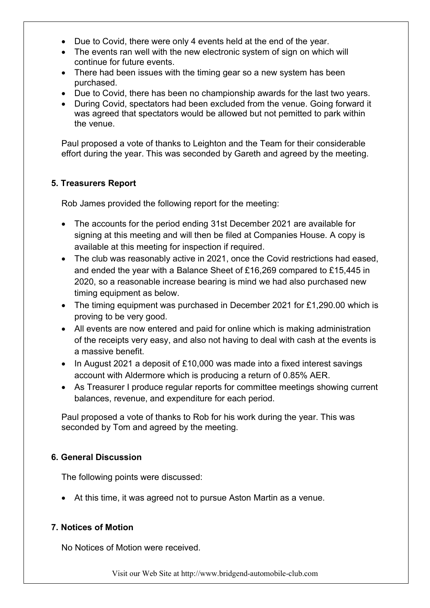- Due to Covid, there were only 4 events held at the end of the year.
- The events ran well with the new electronic system of sign on which will continue for future events.
- There had been issues with the timing gear so a new system has been purchased.
- Due to Covid, there has been no championship awards for the last two years.
- During Covid, spectators had been excluded from the venue. Going forward it was agreed that spectators would be allowed but not pemitted to park within the venue.

Paul proposed a vote of thanks to Leighton and the Team for their considerable effort during the year. This was seconded by Gareth and agreed by the meeting.

### 5. Treasurers Report

Rob James provided the following report for the meeting:

- The accounts for the period ending 31st December 2021 are available for signing at this meeting and will then be filed at Companies House. A copy is available at this meeting for inspection if required.
- The club was reasonably active in 2021, once the Covid restrictions had eased, and ended the year with a Balance Sheet of £16,269 compared to £15,445 in 2020, so a reasonable increase bearing is mind we had also purchased new timing equipment as below.
- The timing equipment was purchased in December 2021 for £1,290.00 which is proving to be very good.
- All events are now entered and paid for online which is making administration of the receipts very easy, and also not having to deal with cash at the events is a massive benefit.
- In August 2021 a deposit of £10,000 was made into a fixed interest savings account with Aldermore which is producing a return of 0.85% AER.
- As Treasurer I produce regular reports for committee meetings showing current balances, revenue, and expenditure for each period.

Paul proposed a vote of thanks to Rob for his work during the year. This was seconded by Tom and agreed by the meeting.

### 6. General Discussion

The following points were discussed:

At this time, it was agreed not to pursue Aston Martin as a venue.

### 7. Notices of Motion

No Notices of Motion were received.

Visit our Web Site at http://www.bridgend-automobile-club.com